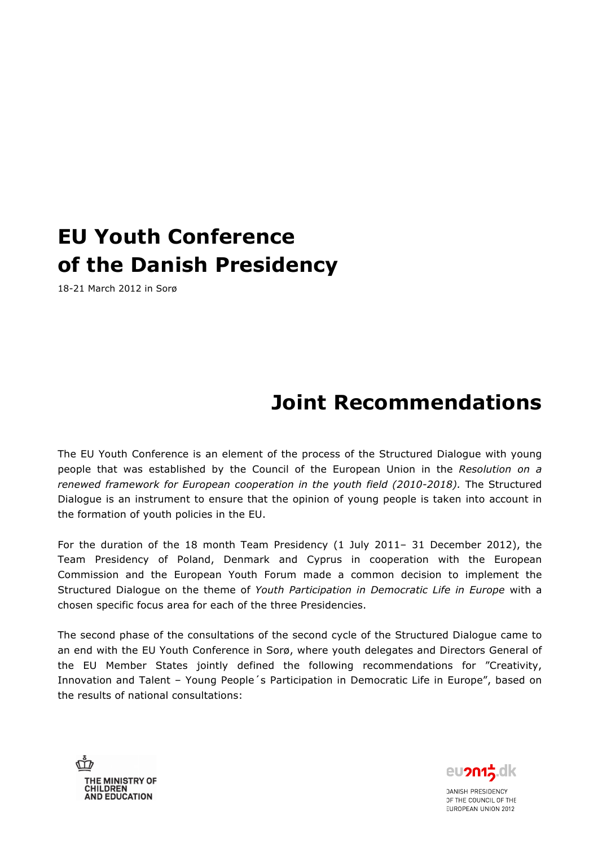# **EU Youth Conference of the Danish Presidency**

18-21 March 2012 in Sorø

# **Joint Recommendations**

The EU Youth Conference is an element of the process of the Structured Dialogue with young people that was established by the Council of the European Union in the *Resolution on a renewed framework for European cooperation in the youth field (2010-2018).* The Structured Dialogue is an instrument to ensure that the opinion of young people is taken into account in the formation of youth policies in the EU.

For the duration of the 18 month Team Presidency (1 July 2011– 31 December 2012), the Team Presidency of Poland, Denmark and Cyprus in cooperation with the European Commission and the European Youth Forum made a common decision to implement the Structured Dialogue on the theme of *Youth Participation in Democratic Life in Europe* with a chosen specific focus area for each of the three Presidencies.

The second phase of the consultations of the second cycle of the Structured Dialogue came to an end with the EU Youth Conference in Sorø, where youth delegates and Directors General of the EU Member States jointly defined the following recommendations for "Creativity, Innovation and Talent – Young People´s Participation in Democratic Life in Europe", based on the results of national consultations:

THE MINISTRY OF<br>CHILDREN<br>AND EDUCATION

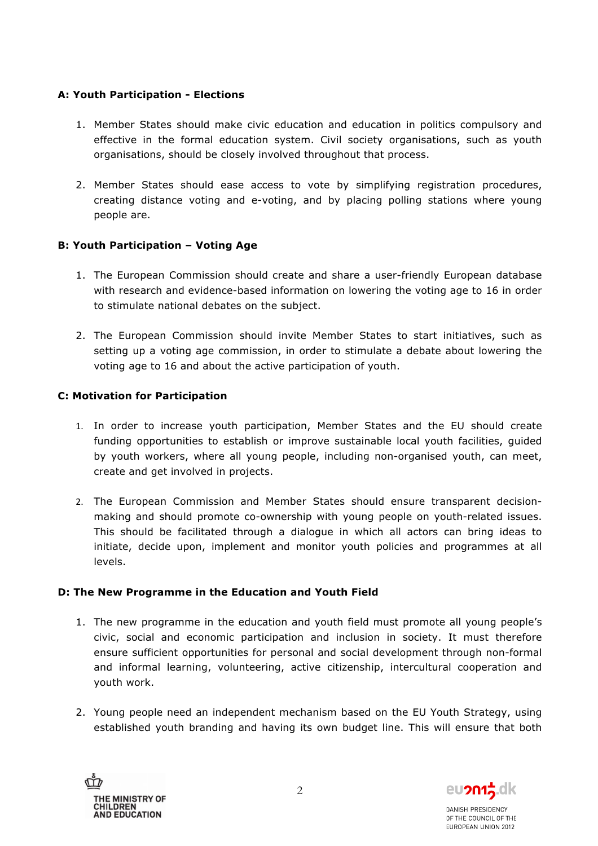### **A: Youth Participation - Elections**

- 1. Member States should make civic education and education in politics compulsory and effective in the formal education system. Civil society organisations, such as youth organisations, should be closely involved throughout that process.
- 2. Member States should ease access to vote by simplifying registration procedures, creating distance voting and e-voting, and by placing polling stations where young people are.

## **B: Youth Participation – Voting Age**

- 1. The European Commission should create and share a user-friendly European database with research and evidence-based information on lowering the voting age to 16 in order to stimulate national debates on the subject.
- 2. The European Commission should invite Member States to start initiatives, such as setting up a voting age commission, in order to stimulate a debate about lowering the voting age to 16 and about the active participation of youth.

#### **C: Motivation for Participation**

- 1. In order to increase youth participation, Member States and the EU should create funding opportunities to establish or improve sustainable local youth facilities, guided by youth workers, where all young people, including non-organised youth, can meet, create and get involved in projects.
- 2. The European Commission and Member States should ensure transparent decisionmaking and should promote co-ownership with young people on youth-related issues. This should be facilitated through a dialogue in which all actors can bring ideas to initiate, decide upon, implement and monitor youth policies and programmes at all levels.

#### **D: The New Programme in the Education and Youth Field**

- 1. The new programme in the education and youth field must promote all young people's civic, social and economic participation and inclusion in society. It must therefore ensure sufficient opportunities for personal and social development through non-formal and informal learning, volunteering, active citizenship, intercultural cooperation and youth work.
- 2. Young people need an independent mechanism based on the EU Youth Strategy, using established youth branding and having its own budget line. This will ensure that both